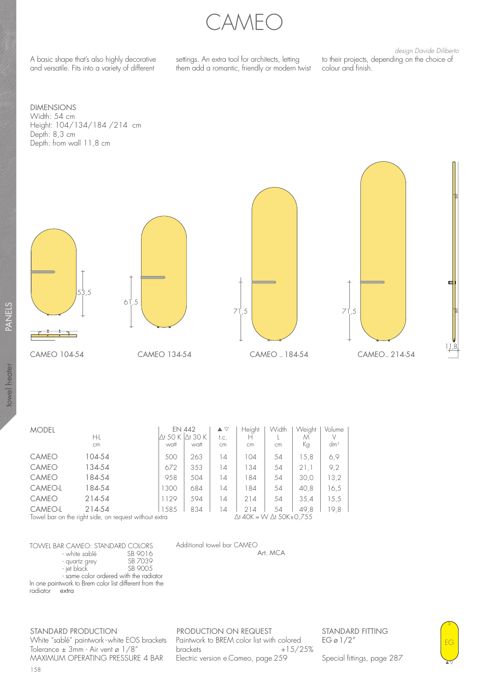CAMEO

A basic shape that's also highly decorative and versatile. Fits into a variety of different

settings. An extra tool for architects, letting them add a romantic, friendly or modern twist

design Davide Diliberto to their projects, depending on the choice of colour and finish.

DIMENSIONS Width: 54 cm Height: 104/134/184 /214 cm Depth: 8,3 cm Depth: from wall 11,8 cm

towel heater







| <b>MODEL</b> | Нŀ<br>cm                                                        | <b>EN 442</b><br>Ơ 50 K<br>watt | $\Delta t$ 30 K<br>watt | $\blacktriangle \triangledown$<br>t.c.<br>cm | Height<br>н<br>cm                                | Width<br><b>cm</b> | Weight<br>M<br>Кg | Volume<br>V<br>dm <sup>3</sup> |
|--------------|-----------------------------------------------------------------|---------------------------------|-------------------------|----------------------------------------------|--------------------------------------------------|--------------------|-------------------|--------------------------------|
| <b>CAMEO</b> | 104-54                                                          | 500                             | 263                     | $\overline{14}$                              | 104                                              | 54                 | 15,8              | 6,9                            |
| CAMEO        | 134-54                                                          | 672                             | 353                     | 14                                           | 134                                              | 54                 | 21.1              | 9,2                            |
| <b>CAMEO</b> | 184-54                                                          | 958                             | 504                     | $\overline{14}$                              | 184                                              | 54                 | 30,0              | 13,2                           |
| CAMEO-L      | 184-54                                                          | 1300                            | 684                     | 14                                           | 184                                              | 54                 | 40.8              | 16,5                           |
| <b>CAMEO</b> | 214-54                                                          | 1129                            | 594                     | 14                                           | 214                                              | 54                 | 35.4              | 15,5                           |
| CAMEO-L      | 214-54<br>Towel bar on the right side, on request without extra | 1585                            | 834                     | 14                                           | 214<br>$\Delta$ t 40K = W $\Delta$ t 50K x 0,755 | 54                 | 49.8              | 19.8                           |

Additional towel bar CAMEO

| TOWFI BAR CAMFO: STANDARD COIORS |          |  |
|----------------------------------|----------|--|
| - white sablé                    | SB 9016  |  |
| - quartz grey                    | SB 7039  |  |
| - jet black                      | SB 900.5 |  |
|                                  |          |  |

 In one paintwork to Brem color list different from the - same color ordered with the radiator radiator extra

STANDARD PRODUCTION White "sablé" paintwork - white EOS brackets Tolerance  $\pm$  3mm - Air vent ø 1/8" MAXIMUM OPERATING PRESSURE 4 BAR

PRODUCTION ON REQUEST Paintwork to BREM color list with colored<br>brackets +15/2  $+15/25%$ Electric version e.Cameo, page 259

Art. MCA

STANDARD FITTING EG ø 1/2"

Special fittings, page 287

EG s

▲

11,8